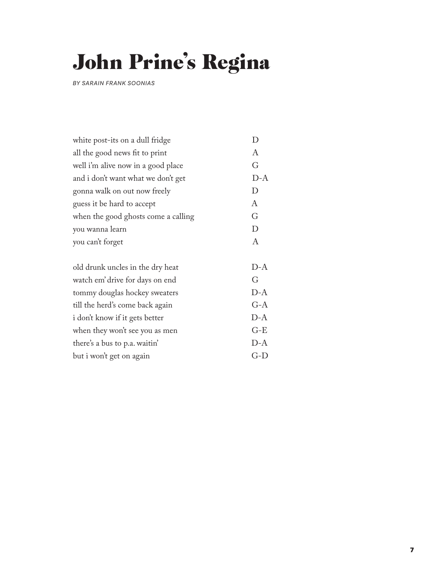## John Prine's Regina

*BY SARAIN FRANK SOONIAS*

| white post-its on a dull fridge     |        |
|-------------------------------------|--------|
| all the good news fit to print      | A      |
| well i'm alive now in a good place  | G      |
| and i don't want what we don't get  | $D-A$  |
| gonna walk on out now freely        | D      |
| guess it be hard to accept          | A      |
| when the good ghosts come a calling | G      |
| you wanna learn                     | $\Box$ |
| you can't forget                    | A      |
|                                     |        |
| old drunk uncles in the dry heat    | $D-A$  |
|                                     |        |

| watch em' drive for days on end | $\mathfrak{c}$ : |
|---------------------------------|------------------|
| tommy douglas hockey sweaters   | $D-A$            |
| till the herd's come back again | $G-A$            |
| i don't know if it gets better  | $D-A$            |
| when they won't see you as men  | $G-E$            |
| there's a bus to p.a. waitin'   | $D-A$            |
| but i won't get on again        | $(\frac{1}{1}$   |